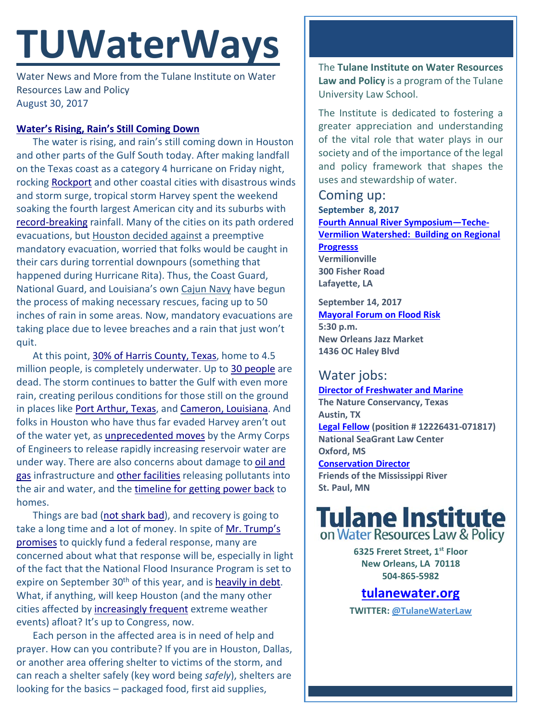# **TUWaterWays**

Water News and More from the Tulane Institute on Water Resources Law and Policy August 30, 2017

## **[Water's Rising, Rain's Still Coming Down](https://www.youtube.com/watch?v=Vh6HVgHakXs)**

The water is rising, and rain's still coming down in Houston and other parts of the Gulf South today. After making landfall on the Texas coast as a category 4 hurricane on Friday night, rocking [Rockport](https://www.nytimes.com/2017/08/27/us/hurricane-harvey-houston-tough-texas.html?action=click&contentCollection=U.S.&module=RelatedCoverage®ion=EndOfArticle&pgtype=article) and other coastal cities with disastrous winds and storm surge, tropical storm Harvey spent the weekend soaking the fourth largest American city and its suburbs with [record-breaking](https://www.nytimes.com/interactive/2017/08/28/climate/500-year-flood-hurricane-harvey-houston.html?rref=collection%2Fsectioncollection%2Fclimate&action=click&contentCollection=climate®ion=rank&module=package&version=highlights&contentPlacement=1&pgtype=sectionfront) rainfall. Many of the cities on its path ordered evacuations, but [Houston decided against](http://www.cnn.com/2017/08/27/us/houston-evacuation-hurricane-harvey/index.html) a preemptive mandatory evacuation, worried that folks would be caught in their cars during torrential downpours (something that happened during Hurricane Rita). Thus, the Coast Guard, National Guard, and Louisiana's own [Cajun Navy](http://www.wbrz.com/news/cajun-navy-en-route-to-houston-to-assist-in-search-and-rescue) have begun the process of making necessary rescues, facing up to 50 inches of rain in some areas. Now, mandatory evacuations are taking place due to levee breaches and a rain that just won't quit.

At this point, [30% of Harris County, Texas,](https://twitter.com/ABCPolitics/status/902851417043419136) home to 4.5 million people, is completely underwater. Up to [30 people](https://www.nytimes.com/2017/08/29/us/hurricane-harvey-storm-flooding.html) are dead. The storm continues to batter the Gulf with even more rain, creating perilous conditions for those still on the ground in places lik[e Port Arthur, Texas,](https://www.nytimes.com/2017/08/30/us/port-arthur-flooding.html?action=click&pgtype=Homepage&clickSource=story-heading&module=span-abc-region®ion=span-abc-region&WT.nav=span-abc-region&mtrref=www.nytimes.com&gwh=F2D6828696F16874A8D69CF15B3974E9&gwt=pay) and [Cameron, Louisiana.](http://www.nola.com/hurricane/index.ssf/2017/08/harvey_louisiana_landfall_stor.html#incart_big-photo) And folks in Houston who have thus far evaded Harvey aren't out of the water yet, as *unprecedented moves* by the Army Corps of Engineers to release rapidly increasing reservoir water are under way. There are also concerns about damage to oil and [gas](https://www.texastribune.org/2017/08/29/exxonmobil-refineries-are-damaged-hurricane-harvey-releasing-hazardous/) infrastructure and [other facilities](https://www.texastribune.org/2017/08/29/houstons-flood-threatens-turn-polluted-superfund-sites-toxic-gumbo/) releasing pollutants into the air and water, and the [timeline for getting power back](https://www.bloomberg.com/news/articles/2017-08-29/homes-worst-hit-by-harvey-may-wait-months-for-power-to-come-back) to homes.

Things are bad [\(not shark bad\)](https://www.nytimes.com/2017/08/28/us/politics/shark-hurricane-harvey-rumors.html?mcubz=0), and recovery is going to take a long time and a lot of money. In spite of Mr. Trump's [promises](http://www.aljazeera.com/news/2017/08/trump-lands-texas-praises-response-harvey-170829183036118.html) to quickly fund a federal response, many are concerned about what that response will be, especially in light of the fact that the National Flood Insurance Program is set to expire on September 30<sup>th</sup> of this year, and is [heavily in debt.](https://www.reuters.com/article/storm-harvey-flood-insurance-idUSL2N1LB25V) What, if anything, will keep Houston (and the many other cities affected by [increasingly frequent](https://www.epa.gov/climate-indicators/climate-change-indicators-heavy-precipitation) extreme weather events) afloat? It's up to Congress, now.

Each person in the affected area is in need of help and prayer. How can you contribute? If you are in Houston, Dallas, or another area offering shelter to victims of the storm, and can reach a shelter safely (key word being *safely*), shelters are looking for the basics – packaged food, first aid supplies,

The **Tulane Institute on Water Resources Law and Policy** is a program of the Tulane University Law School.

The Institute is dedicated to fostering a greater appreciation and understanding of the vital role that water plays in our society and of the importance of the legal and policy framework that shapes the uses and stewardship of water.

## Coming up:

**September 8, 2017 [Fourth Annual River Symposium—Teche-](https://www.eventbrite.com/e/symposium-teche-vermilion-watershed-building-on-regional-progress-tickets-27041868958)[Vermilion Watershed: Building on Regional](https://www.eventbrite.com/e/symposium-teche-vermilion-watershed-building-on-regional-progress-tickets-27041868958)  [Progresss](https://www.eventbrite.com/e/symposium-teche-vermilion-watershed-building-on-regional-progress-tickets-27041868958) Vermilionville 300 Fisher Road Lafayette, LA**

**September 14, 2017 [Mayoral Forum on Flood Risk](http://www.urbanconservancy.org/project/mayoral-forum-flood-risk/) 5:30 p.m. New Orleans Jazz Market 1436 OC Haley Blvd**

# Water jobs:

**[Director of Freshwater and Marine](https://careers.nature.org/psp/tnccareers/APPLICANT/APPL/c/HRS_HRAM.HRS_APP_SCHJOB.GBL?Page=HRS_APP_JBPST&Action=U&FOCUS=Applicant&SiteId=1&JobOpeningId=45552&PostingSeq=1) The Nature Conservancy, Texas Austin, TX [Legal Fellow](https://jobs.olemiss.edu/) (position # 12226431-071817) National SeaGrant Law Center Oxford, MS [Conservation Director](https://fmr.org/news/2017/08/25/position-announcement-conservation-director) Friends of the Mississippi River St. Paul, MN**

# **Tulane Institute** on Water Resources Law & Policy

**6325 Freret Street, 1st Floor New Orleans, LA 70118 504-865-5982** 

# **tulanewater.org**

**TWITTER: [@TulaneWaterLaw](http://www.twitter.com/TulaneWaterLaw)**